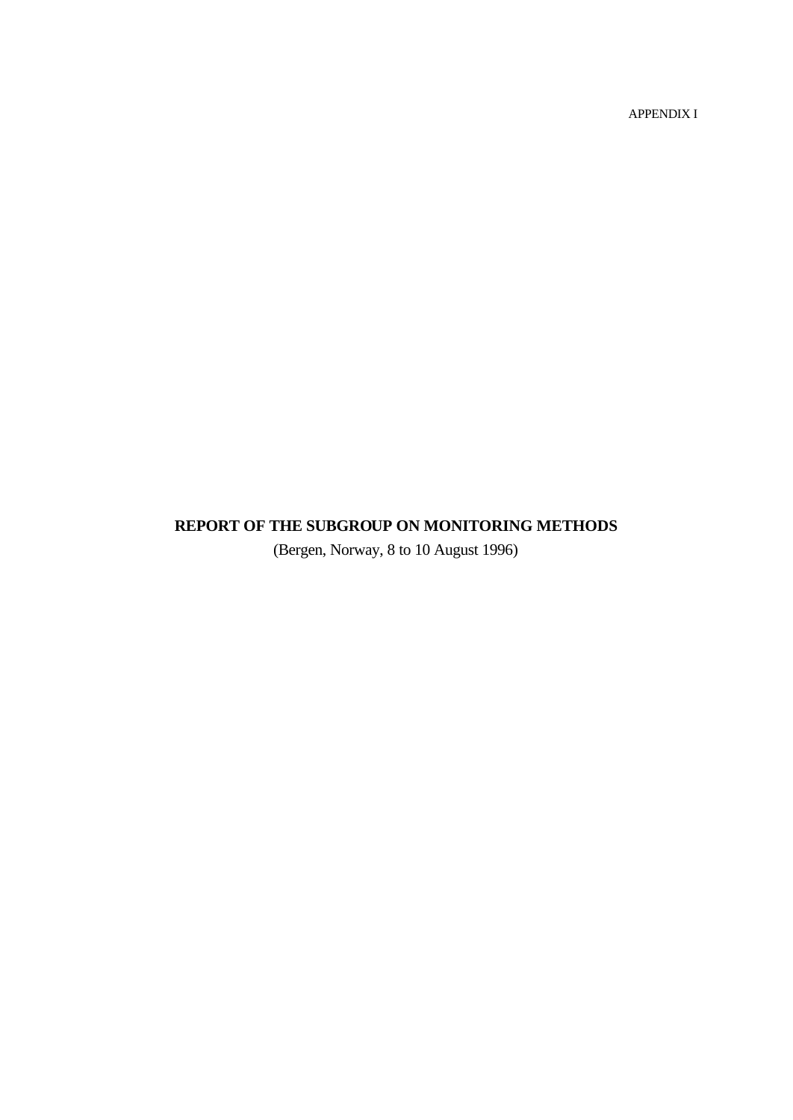APPENDIX I

# **REPORT OF THE SUBGROUP ON MONITORING METHODS**

(Bergen, Norway, 8 to 10 August 1996)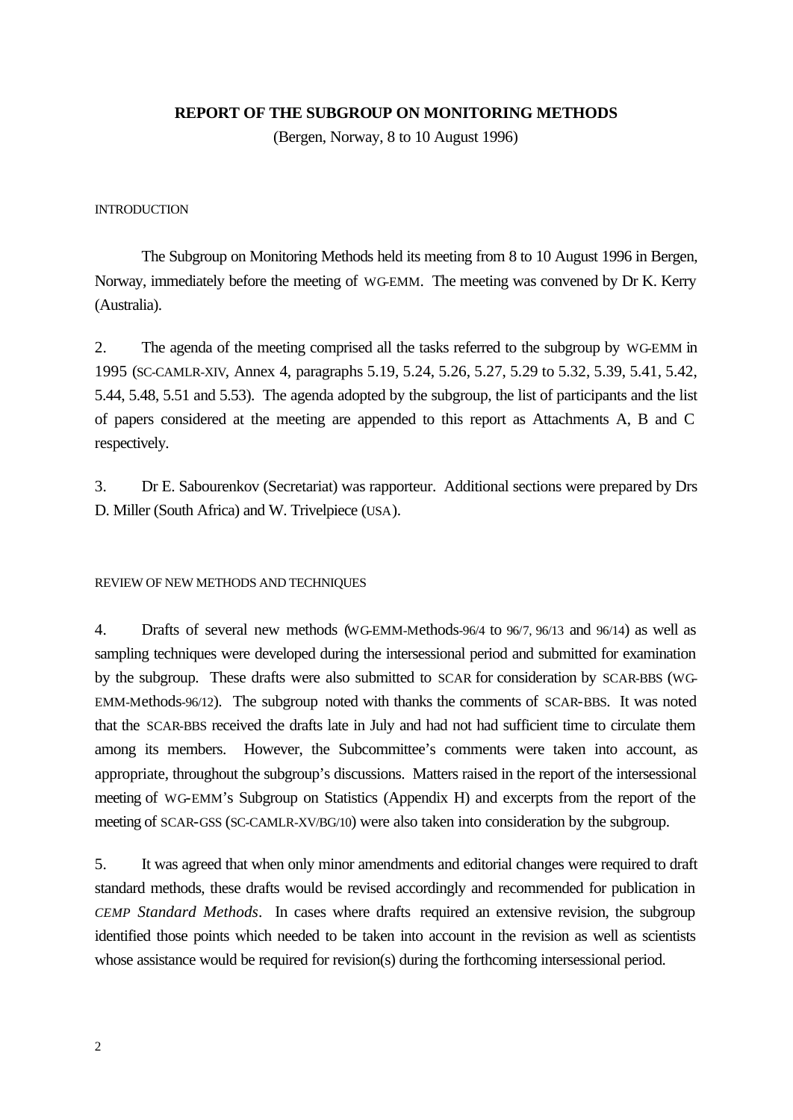### **REPORT OF THE SUBGROUP ON MONITORING METHODS**

(Bergen, Norway, 8 to 10 August 1996)

#### **INTRODUCTION**

The Subgroup on Monitoring Methods held its meeting from 8 to 10 August 1996 in Bergen, Norway, immediately before the meeting of WG-EMM. The meeting was convened by Dr K. Kerry (Australia).

2. The agenda of the meeting comprised all the tasks referred to the subgroup by WG-EMM in 1995 (SC-CAMLR-XIV, Annex 4, paragraphs 5.19, 5.24, 5.26, 5.27, 5.29 to 5.32, 5.39, 5.41, 5.42, 5.44, 5.48, 5.51 and 5.53). The agenda adopted by the subgroup, the list of participants and the list of papers considered at the meeting are appended to this report as Attachments A, B and C respectively.

3. Dr E. Sabourenkov (Secretariat) was rapporteur. Additional sections were prepared by Drs D. Miller (South Africa) and W. Trivelpiece (USA).

#### REVIEW OF NEW METHODS AND TECHNIQUES

4. Drafts of several new methods (WG-EMM-Methods-96/4 to 96/7, 96/13 and 96/14) as well as sampling techniques were developed during the intersessional period and submitted for examination by the subgroup. These drafts were also submitted to SCAR for consideration by SCAR-BBS (WG-EMM-Methods-96/12). The subgroup noted with thanks the comments of SCAR-BBS. It was noted that the SCAR-BBS received the drafts late in July and had not had sufficient time to circulate them among its members. However, the Subcommittee's comments were taken into account, as appropriate, throughout the subgroup's discussions. Matters raised in the report of the intersessional meeting of WG-EMM's Subgroup on Statistics (Appendix H) and excerpts from the report of the meeting of SCAR-GSS (SC-CAMLR-XV/BG/10) were also taken into consideration by the subgroup.

5. It was agreed that when only minor amendments and editorial changes were required to draft standard methods, these drafts would be revised accordingly and recommended for publication in *CEMP Standard Methods*. In cases where drafts required an extensive revision, the subgroup identified those points which needed to be taken into account in the revision as well as scientists whose assistance would be required for revision(s) during the forthcoming intersessional period.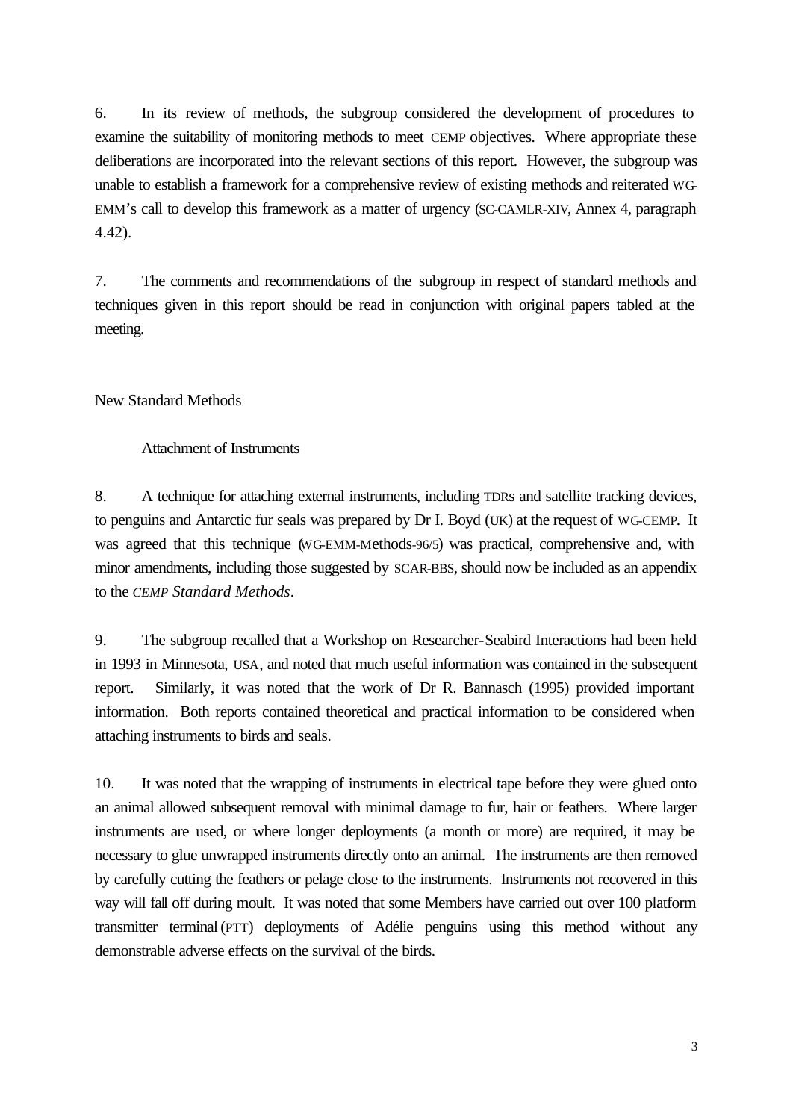6. In its review of methods, the subgroup considered the development of procedures to examine the suitability of monitoring methods to meet CEMP objectives. Where appropriate these deliberations are incorporated into the relevant sections of this report. However, the subgroup was unable to establish a framework for a comprehensive review of existing methods and reiterated WG-EMM's call to develop this framework as a matter of urgency (SC-CAMLR-XIV, Annex 4, paragraph 4.42).

7. The comments and recommendations of the subgroup in respect of standard methods and techniques given in this report should be read in conjunction with original papers tabled at the meeting.

New Standard Methods

Attachment of Instruments

8. A technique for attaching external instruments, including TDRs and satellite tracking devices, to penguins and Antarctic fur seals was prepared by Dr I. Boyd (UK) at the request of WG-CEMP. It was agreed that this technique (WG-EMM-Methods-96/5) was practical, comprehensive and, with minor amendments, including those suggested by SCAR-BBS, should now be included as an appendix to the *CEMP Standard Methods*.

9. The subgroup recalled that a Workshop on Researcher-Seabird Interactions had been held in 1993 in Minnesota, USA, and noted that much useful information was contained in the subsequent report. Similarly, it was noted that the work of Dr R. Bannasch (1995) provided important information. Both reports contained theoretical and practical information to be considered when attaching instruments to birds and seals.

10. It was noted that the wrapping of instruments in electrical tape before they were glued onto an animal allowed subsequent removal with minimal damage to fur, hair or feathers. Where larger instruments are used, or where longer deployments (a month or more) are required, it may be necessary to glue unwrapped instruments directly onto an animal. The instruments are then removed by carefully cutting the feathers or pelage close to the instruments. Instruments not recovered in this way will fall off during moult. It was noted that some Members have carried out over 100 platform transmitter terminal(PTT) deployments of Adélie penguins using this method without any demonstrable adverse effects on the survival of the birds.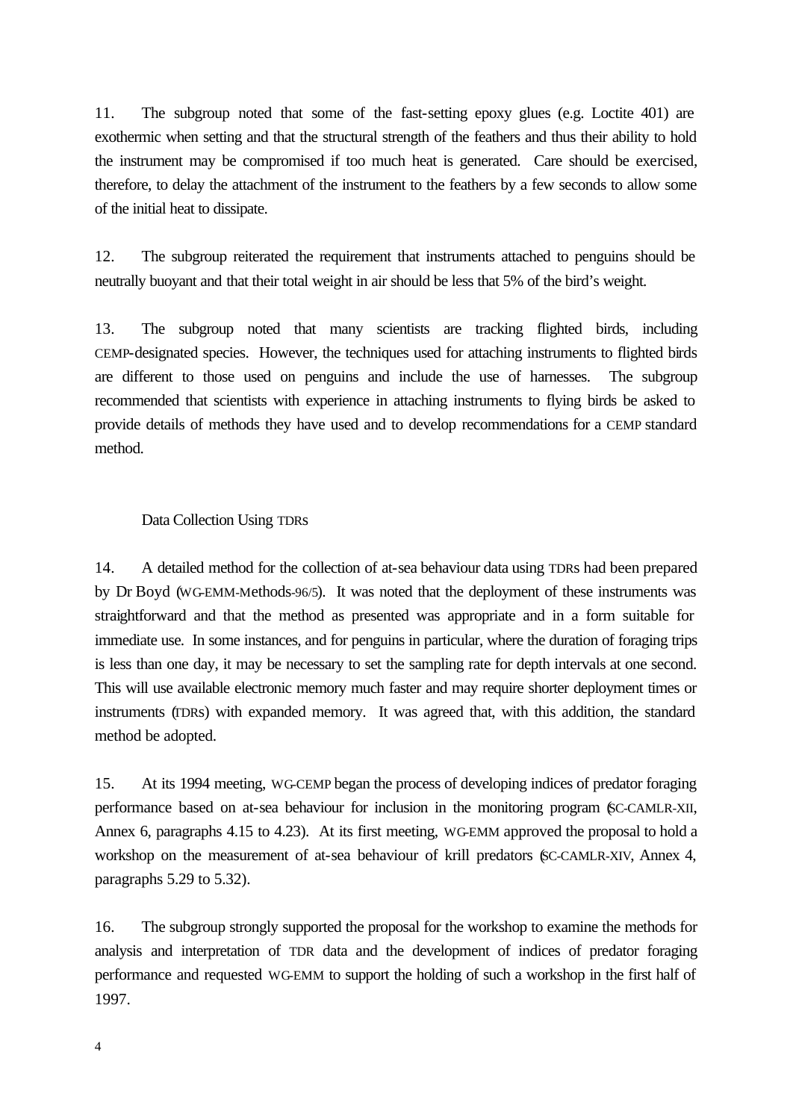11. The subgroup noted that some of the fast-setting epoxy glues (e.g. Loctite 401) are exothermic when setting and that the structural strength of the feathers and thus their ability to hold the instrument may be compromised if too much heat is generated. Care should be exercised, therefore, to delay the attachment of the instrument to the feathers by a few seconds to allow some of the initial heat to dissipate.

12. The subgroup reiterated the requirement that instruments attached to penguins should be neutrally buoyant and that their total weight in air should be less that 5% of the bird's weight.

13. The subgroup noted that many scientists are tracking flighted birds, including CEMP-designated species. However, the techniques used for attaching instruments to flighted birds are different to those used on penguins and include the use of harnesses. The subgroup recommended that scientists with experience in attaching instruments to flying birds be asked to provide details of methods they have used and to develop recommendations for a CEMP standard method.

#### Data Collection Using TDRs

14. A detailed method for the collection of at-sea behaviour data using TDRs had been prepared by Dr Boyd (WG-EMM-Methods-96/5). It was noted that the deployment of these instruments was straightforward and that the method as presented was appropriate and in a form suitable for immediate use. In some instances, and for penguins in particular, where the duration of foraging trips is less than one day, it may be necessary to set the sampling rate for depth intervals at one second. This will use available electronic memory much faster and may require shorter deployment times or instruments (TDRs) with expanded memory. It was agreed that, with this addition, the standard method be adopted.

15. At its 1994 meeting, WG-CEMP began the process of developing indices of predator foraging performance based on at-sea behaviour for inclusion in the monitoring program (SC-CAMLR-XII, Annex 6, paragraphs 4.15 to 4.23). At its first meeting, WG-EMM approved the proposal to hold a workshop on the measurement of at-sea behaviour of krill predators (SC-CAMLR-XIV, Annex 4, paragraphs 5.29 to 5.32).

16. The subgroup strongly supported the proposal for the workshop to examine the methods for analysis and interpretation of TDR data and the development of indices of predator foraging performance and requested WG-EMM to support the holding of such a workshop in the first half of 1997.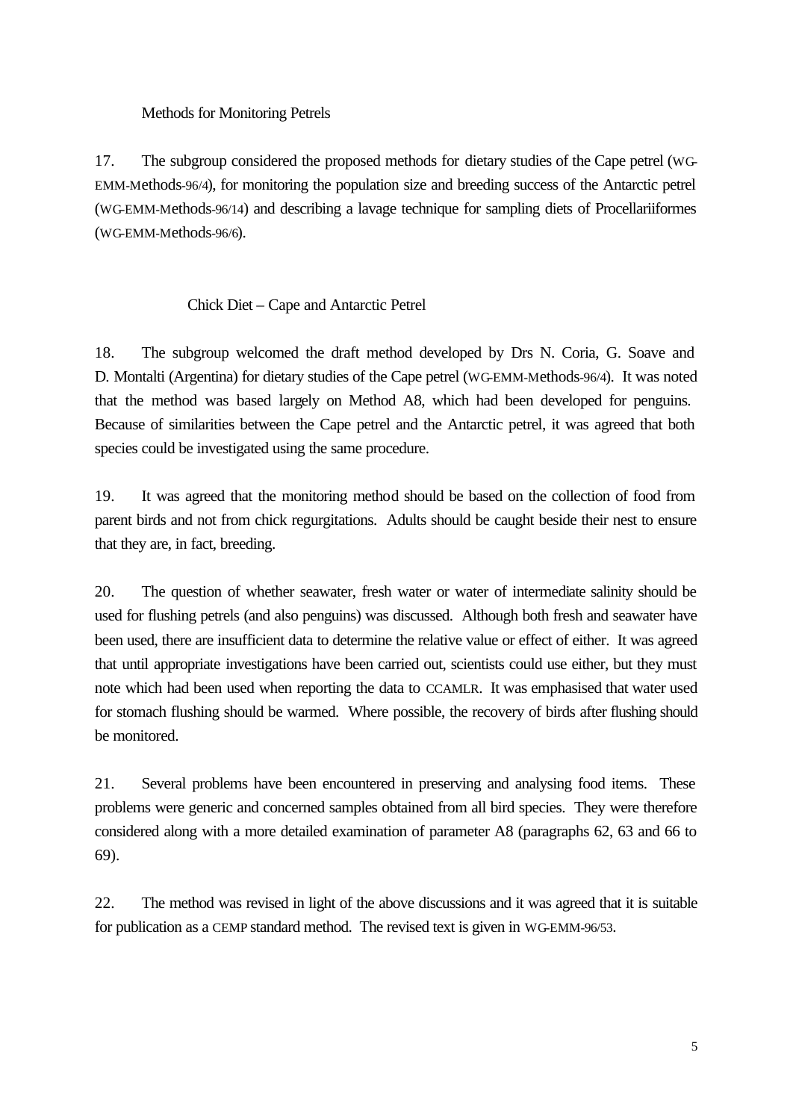Methods for Monitoring Petrels

17. The subgroup considered the proposed methods for dietary studies of the Cape petrel (WG-EMM-Methods-96/4), for monitoring the population size and breeding success of the Antarctic petrel (WG-EMM-Methods-96/14) and describing a lavage technique for sampling diets of Procellariiformes (WG-EMM-Methods-96/6).

# Chick Diet – Cape and Antarctic Petrel

18. The subgroup welcomed the draft method developed by Drs N. Coria, G. Soave and D. Montalti (Argentina) for dietary studies of the Cape petrel (WG-EMM-Methods-96/4). It was noted that the method was based largely on Method A8, which had been developed for penguins. Because of similarities between the Cape petrel and the Antarctic petrel, it was agreed that both species could be investigated using the same procedure.

19. It was agreed that the monitoring method should be based on the collection of food from parent birds and not from chick regurgitations. Adults should be caught beside their nest to ensure that they are, in fact, breeding.

20. The question of whether seawater, fresh water or water of intermediate salinity should be used for flushing petrels (and also penguins) was discussed. Although both fresh and seawater have been used, there are insufficient data to determine the relative value or effect of either. It was agreed that until appropriate investigations have been carried out, scientists could use either, but they must note which had been used when reporting the data to CCAMLR. It was emphasised that water used for stomach flushing should be warmed. Where possible, the recovery of birds after flushing should be monitored.

21. Several problems have been encountered in preserving and analysing food items. These problems were generic and concerned samples obtained from all bird species. They were therefore considered along with a more detailed examination of parameter A8 (paragraphs 62, 63 and 66 to 69).

22. The method was revised in light of the above discussions and it was agreed that it is suitable for publication as a CEMP standard method. The revised text is given in WG-EMM-96/53.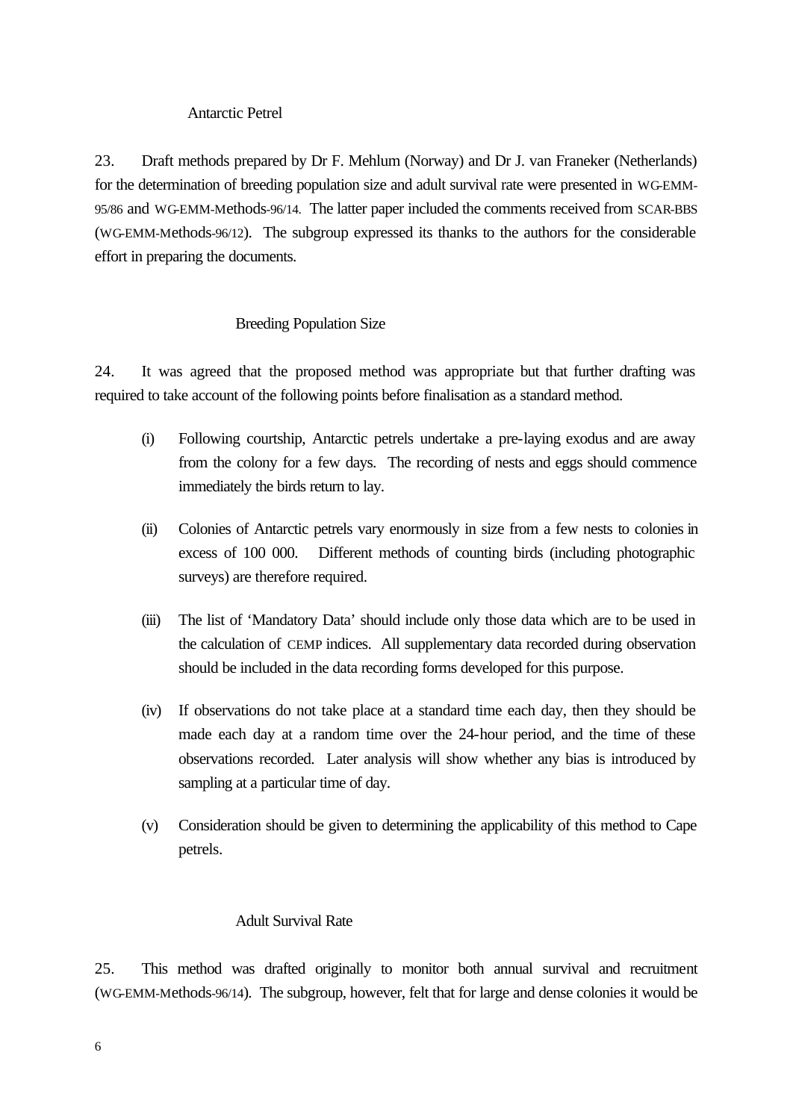### Antarctic Petrel

23. Draft methods prepared by Dr F. Mehlum (Norway) and Dr J. van Franeker (Netherlands) for the determination of breeding population size and adult survival rate were presented in WG-EMM-95/86 and WG-EMM-Methods-96/14. The latter paper included the comments received from SCAR-BBS (WG-EMM-Methods-96/12). The subgroup expressed its thanks to the authors for the considerable effort in preparing the documents.

### Breeding Population Size

24. It was agreed that the proposed method was appropriate but that further drafting was required to take account of the following points before finalisation as a standard method.

- (i) Following courtship, Antarctic petrels undertake a pre-laying exodus and are away from the colony for a few days. The recording of nests and eggs should commence immediately the birds return to lay.
- (ii) Colonies of Antarctic petrels vary enormously in size from a few nests to colonies in excess of 100 000. Different methods of counting birds (including photographic surveys) are therefore required.
- (iii) The list of 'Mandatory Data' should include only those data which are to be used in the calculation of CEMP indices. All supplementary data recorded during observation should be included in the data recording forms developed for this purpose.
- (iv) If observations do not take place at a standard time each day, then they should be made each day at a random time over the 24-hour period, and the time of these observations recorded. Later analysis will show whether any bias is introduced by sampling at a particular time of day.
- (v) Consideration should be given to determining the applicability of this method to Cape petrels.

### Adult Survival Rate

25. This method was drafted originally to monitor both annual survival and recruitment (WG-EMM-Methods-96/14). The subgroup, however, felt that for large and dense colonies it would be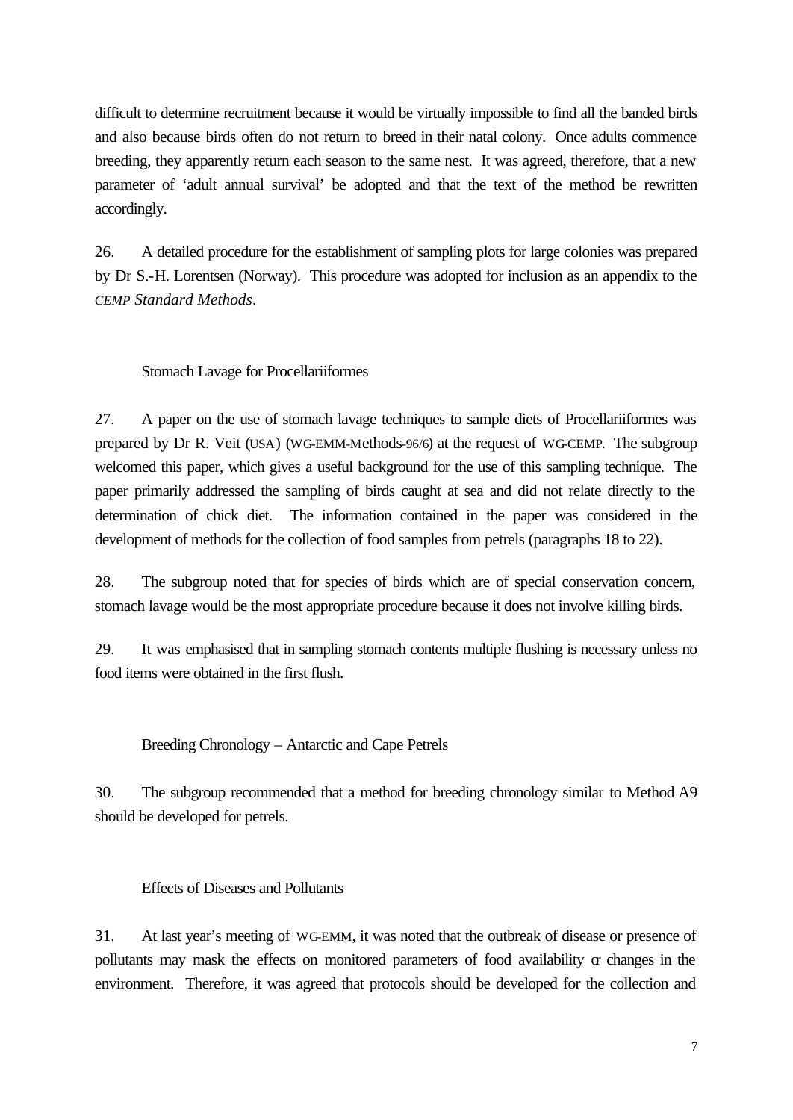difficult to determine recruitment because it would be virtually impossible to find all the banded birds and also because birds often do not return to breed in their natal colony. Once adults commence breeding, they apparently return each season to the same nest. It was agreed, therefore, that a new parameter of 'adult annual survival' be adopted and that the text of the method be rewritten accordingly.

26. A detailed procedure for the establishment of sampling plots for large colonies was prepared by Dr S.-H. Lorentsen (Norway). This procedure was adopted for inclusion as an appendix to the *CEMP Standard Methods*.

### Stomach Lavage for Procellariiformes

27. A paper on the use of stomach lavage techniques to sample diets of Procellariiformes was prepared by Dr R. Veit (USA) (WG-EMM-Methods-96/6) at the request of WG-CEMP. The subgroup welcomed this paper, which gives a useful background for the use of this sampling technique. The paper primarily addressed the sampling of birds caught at sea and did not relate directly to the determination of chick diet. The information contained in the paper was considered in the development of methods for the collection of food samples from petrels (paragraphs 18 to 22).

28. The subgroup noted that for species of birds which are of special conservation concern, stomach lavage would be the most appropriate procedure because it does not involve killing birds.

29. It was emphasised that in sampling stomach contents multiple flushing is necessary unless no food items were obtained in the first flush.

Breeding Chronology – Antarctic and Cape Petrels

30. The subgroup recommended that a method for breeding chronology similar to Method A9 should be developed for petrels.

### Effects of Diseases and Pollutants

31. At last year's meeting of WG-EMM, it was noted that the outbreak of disease or presence of pollutants may mask the effects on monitored parameters of food availability or changes in the environment. Therefore, it was agreed that protocols should be developed for the collection and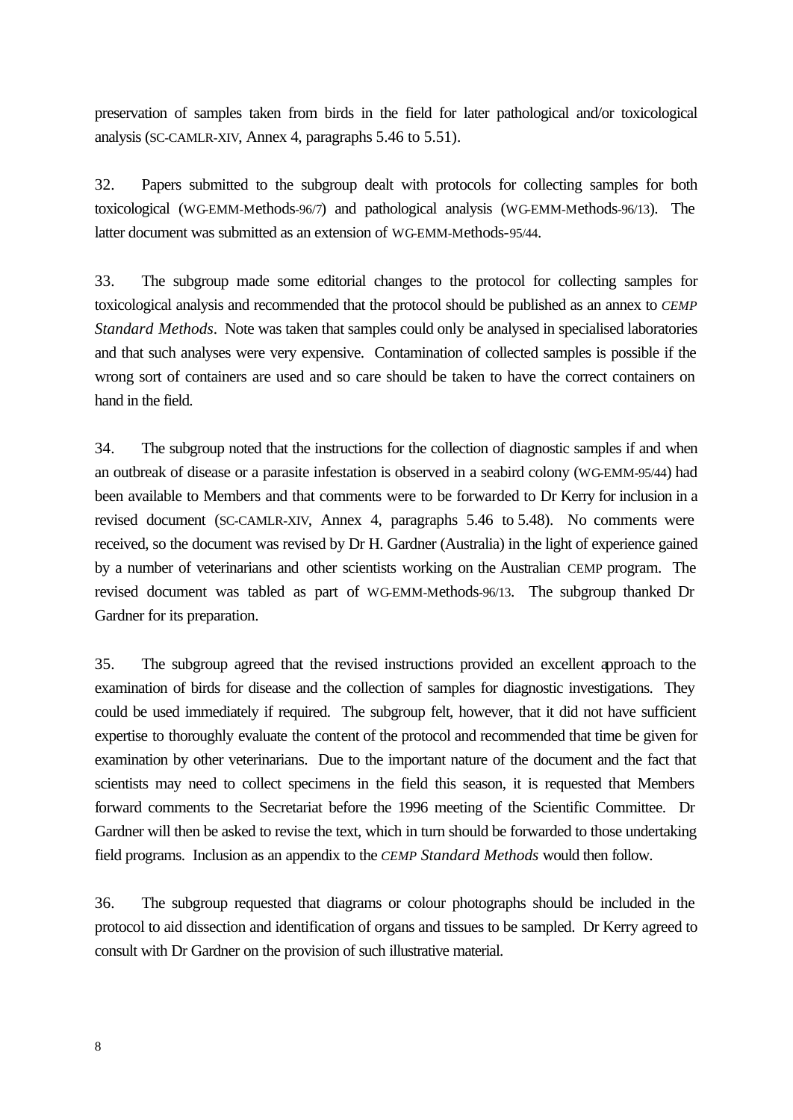preservation of samples taken from birds in the field for later pathological and/or toxicological analysis (SC-CAMLR-XIV, Annex 4, paragraphs 5.46 to 5.51).

32. Papers submitted to the subgroup dealt with protocols for collecting samples for both toxicological (WG-EMM-Methods-96/7) and pathological analysis (WG-EMM-Methods-96/13). The latter document was submitted as an extension of WG-EMM-Methods-95/44.

33. The subgroup made some editorial changes to the protocol for collecting samples for toxicological analysis and recommended that the protocol should be published as an annex to *CEMP Standard Methods*. Note was taken that samples could only be analysed in specialised laboratories and that such analyses were very expensive. Contamination of collected samples is possible if the wrong sort of containers are used and so care should be taken to have the correct containers on hand in the field.

34. The subgroup noted that the instructions for the collection of diagnostic samples if and when an outbreak of disease or a parasite infestation is observed in a seabird colony (WG-EMM-95/44) had been available to Members and that comments were to be forwarded to Dr Kerry for inclusion in a revised document (SC-CAMLR-XIV, Annex 4, paragraphs 5.46 to 5.48). No comments were received, so the document was revised by Dr H. Gardner (Australia) in the light of experience gained by a number of veterinarians and other scientists working on the Australian CEMP program. The revised document was tabled as part of WG-EMM-Methods-96/13. The subgroup thanked Dr Gardner for its preparation.

35. The subgroup agreed that the revised instructions provided an excellent approach to the examination of birds for disease and the collection of samples for diagnostic investigations. They could be used immediately if required. The subgroup felt, however, that it did not have sufficient expertise to thoroughly evaluate the content of the protocol and recommended that time be given for examination by other veterinarians. Due to the important nature of the document and the fact that scientists may need to collect specimens in the field this season, it is requested that Members forward comments to the Secretariat before the 1996 meeting of the Scientific Committee. Dr Gardner will then be asked to revise the text, which in turn should be forwarded to those undertaking field programs. Inclusion as an appendix to the *CEMP Standard Methods* would then follow.

36. The subgroup requested that diagrams or colour photographs should be included in the protocol to aid dissection and identification of organs and tissues to be sampled. Dr Kerry agreed to consult with Dr Gardner on the provision of such illustrative material.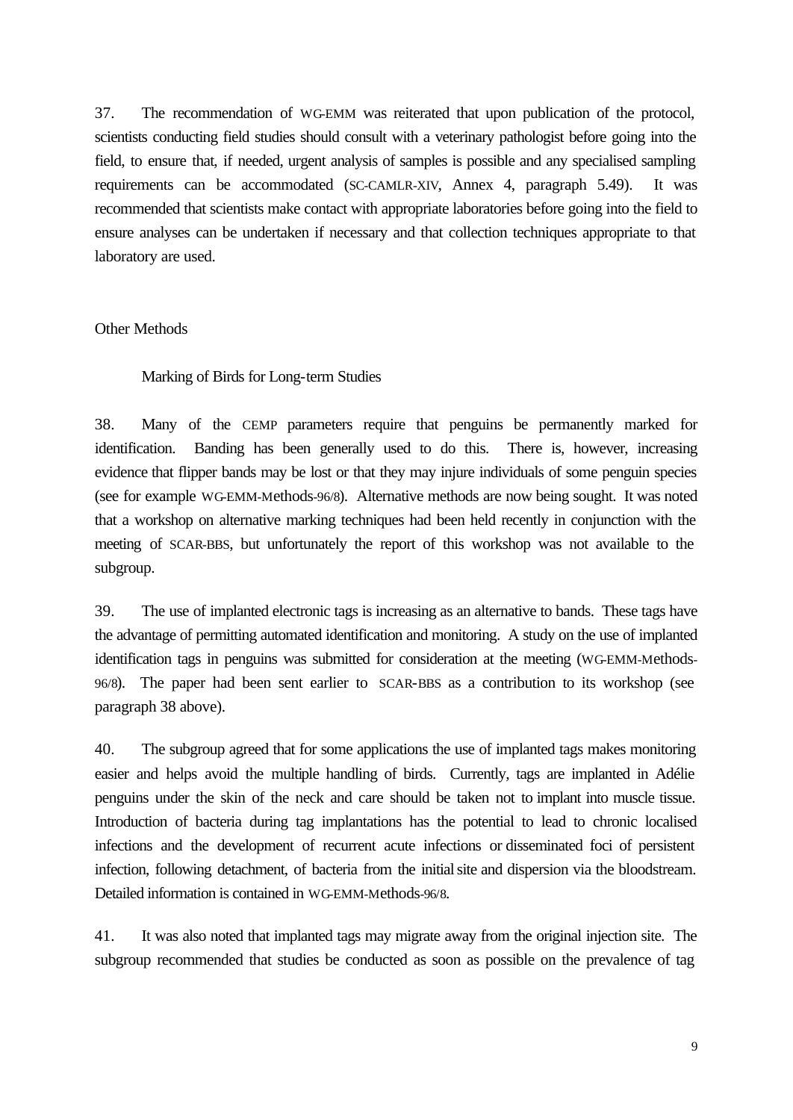37. The recommendation of WG-EMM was reiterated that upon publication of the protocol, scientists conducting field studies should consult with a veterinary pathologist before going into the field, to ensure that, if needed, urgent analysis of samples is possible and any specialised sampling requirements can be accommodated (SC-CAMLR-XIV, Annex 4, paragraph 5.49). It was recommended that scientists make contact with appropriate laboratories before going into the field to ensure analyses can be undertaken if necessary and that collection techniques appropriate to that laboratory are used.

#### Other Methods

## Marking of Birds for Long-term Studies

38. Many of the CEMP parameters require that penguins be permanently marked for identification. Banding has been generally used to do this. There is, however, increasing evidence that flipper bands may be lost or that they may injure individuals of some penguin species (see for example WG-EMM-Methods-96/8). Alternative methods are now being sought. It was noted that a workshop on alternative marking techniques had been held recently in conjunction with the meeting of SCAR-BBS, but unfortunately the report of this workshop was not available to the subgroup.

39. The use of implanted electronic tags is increasing as an alternative to bands. These tags have the advantage of permitting automated identification and monitoring. A study on the use of implanted identification tags in penguins was submitted for consideration at the meeting (WG-EMM-Methods-96/8). The paper had been sent earlier to SCAR-BBS as a contribution to its workshop (see paragraph 38 above).

40. The subgroup agreed that for some applications the use of implanted tags makes monitoring easier and helps avoid the multiple handling of birds. Currently, tags are implanted in Adélie penguins under the skin of the neck and care should be taken not to implant into muscle tissue. Introduction of bacteria during tag implantations has the potential to lead to chronic localised infections and the development of recurrent acute infections or disseminated foci of persistent infection, following detachment, of bacteria from the initialsite and dispersion via the bloodstream. Detailed information is contained in WG-EMM-Methods-96/8.

41. It was also noted that implanted tags may migrate away from the original injection site. The subgroup recommended that studies be conducted as soon as possible on the prevalence of tag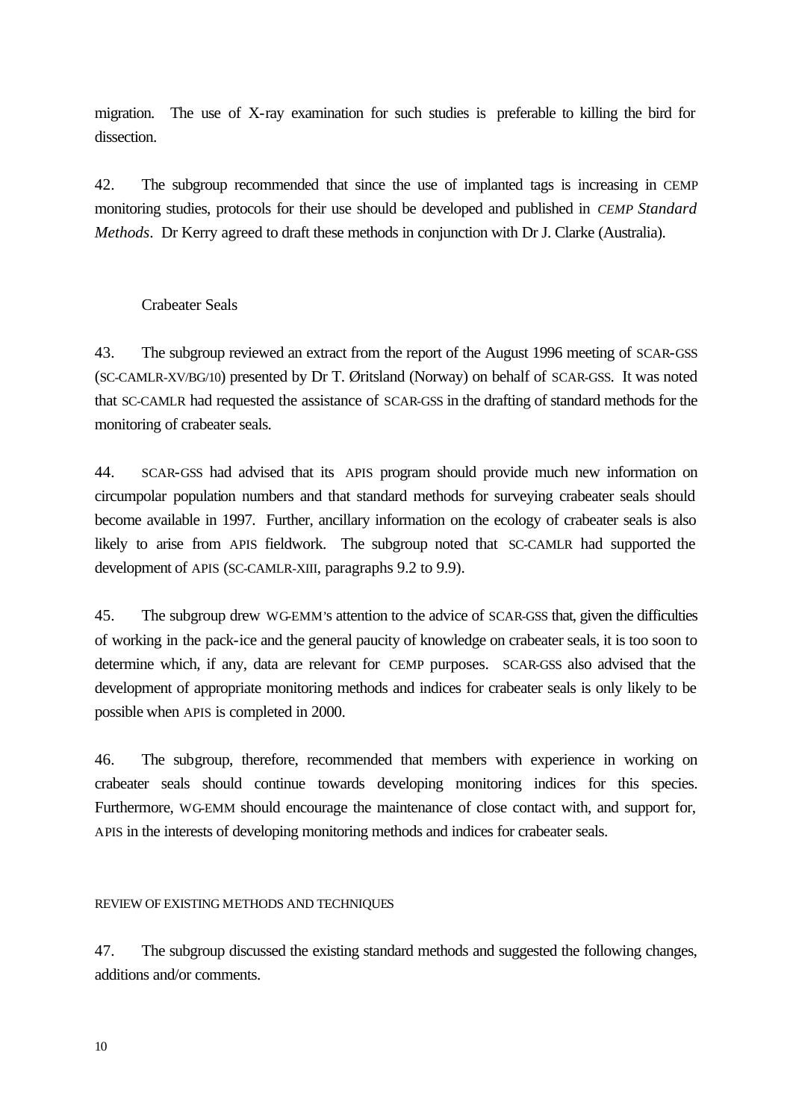migration. The use of X-ray examination for such studies is preferable to killing the bird for dissection.

42. The subgroup recommended that since the use of implanted tags is increasing in CEMP monitoring studies, protocols for their use should be developed and published in *CEMP Standard Methods*. Dr Kerry agreed to draft these methods in conjunction with Dr J. Clarke (Australia).

# Crabeater Seals

43. The subgroup reviewed an extract from the report of the August 1996 meeting of SCAR-GSS (SC-CAMLR-XV/BG/10) presented by Dr T. Øritsland (Norway) on behalf of SCAR-GSS. It was noted that SC-CAMLR had requested the assistance of SCAR-GSS in the drafting of standard methods for the monitoring of crabeater seals.

44. SCAR-GSS had advised that its APIS program should provide much new information on circumpolar population numbers and that standard methods for surveying crabeater seals should become available in 1997. Further, ancillary information on the ecology of crabeater seals is also likely to arise from APIS fieldwork. The subgroup noted that SC-CAMLR had supported the development of APIS (SC-CAMLR-XIII, paragraphs 9.2 to 9.9).

45. The subgroup drew WG-EMM's attention to the advice of SCAR-GSS that, given the difficulties of working in the pack-ice and the general paucity of knowledge on crabeater seals, it is too soon to determine which, if any, data are relevant for CEMP purposes. SCAR-GSS also advised that the development of appropriate monitoring methods and indices for crabeater seals is only likely to be possible when APIS is completed in 2000.

46. The subgroup, therefore, recommended that members with experience in working on crabeater seals should continue towards developing monitoring indices for this species. Furthermore, WG-EMM should encourage the maintenance of close contact with, and support for, APIS in the interests of developing monitoring methods and indices for crabeater seals.

#### REVIEW OF EXISTING METHODS AND TECHNIQUES

47. The subgroup discussed the existing standard methods and suggested the following changes, additions and/or comments.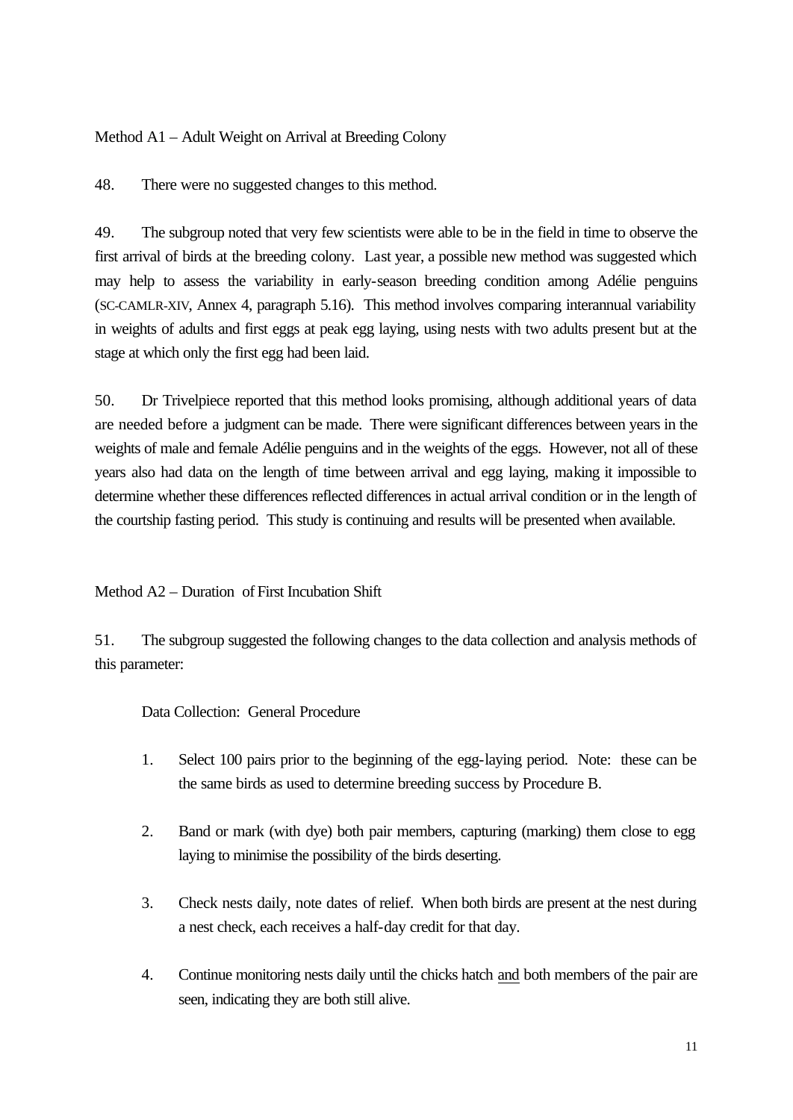Method A1 – Adult Weight on Arrival at Breeding Colony

48. There were no suggested changes to this method.

49. The subgroup noted that very few scientists were able to be in the field in time to observe the first arrival of birds at the breeding colony. Last year, a possible new method was suggested which may help to assess the variability in early-season breeding condition among Adélie penguins (SC-CAMLR-XIV, Annex 4, paragraph 5.16). This method involves comparing interannual variability in weights of adults and first eggs at peak egg laying, using nests with two adults present but at the stage at which only the first egg had been laid.

50. Dr Trivelpiece reported that this method looks promising, although additional years of data are needed before a judgment can be made. There were significant differences between years in the weights of male and female Adélie penguins and in the weights of the eggs. However, not all of these years also had data on the length of time between arrival and egg laying, making it impossible to determine whether these differences reflected differences in actual arrival condition or in the length of the courtship fasting period. This study is continuing and results will be presented when available.

# Method A2 – Duration of First Incubation Shift

51. The subgroup suggested the following changes to the data collection and analysis methods of this parameter:

Data Collection: General Procedure

- 1. Select 100 pairs prior to the beginning of the egg-laying period. Note: these can be the same birds as used to determine breeding success by Procedure B.
- 2. Band or mark (with dye) both pair members, capturing (marking) them close to egg laying to minimise the possibility of the birds deserting.
- 3. Check nests daily, note dates of relief. When both birds are present at the nest during a nest check, each receives a half-day credit for that day.
- 4. Continue monitoring nests daily until the chicks hatch and both members of the pair are seen, indicating they are both still alive.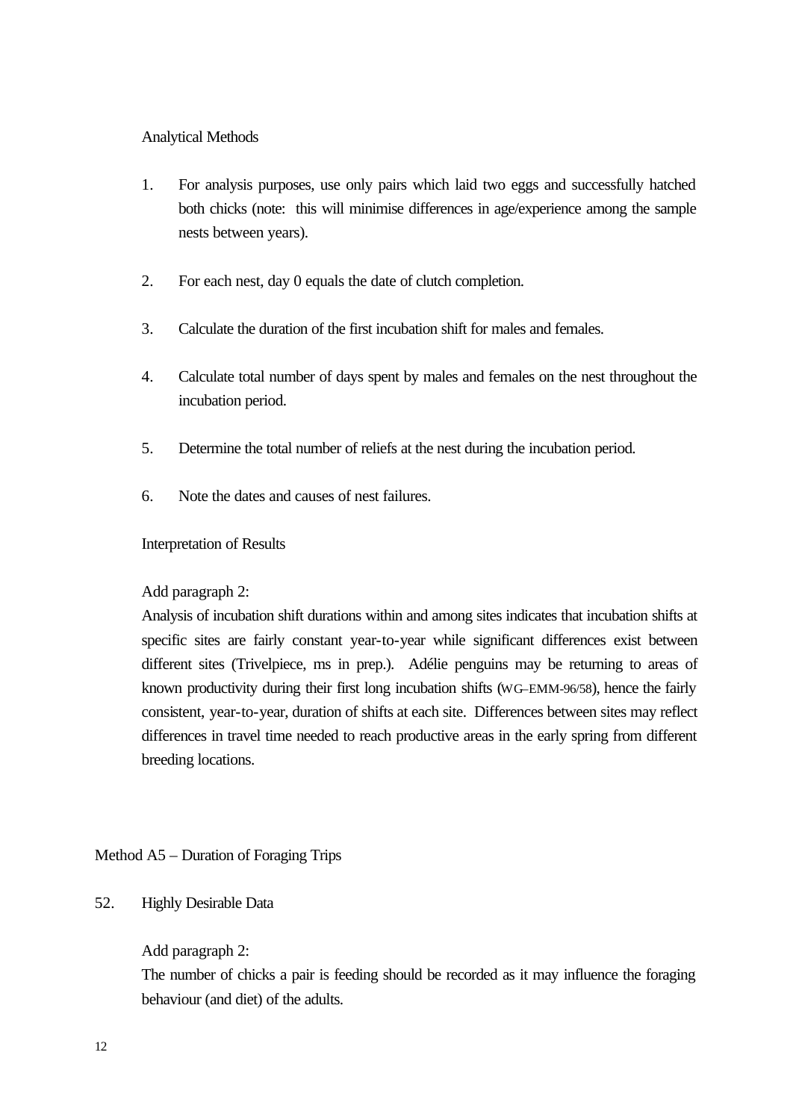# Analytical Methods

- 1. For analysis purposes, use only pairs which laid two eggs and successfully hatched both chicks (note: this will minimise differences in age/experience among the sample nests between years).
- 2. For each nest, day 0 equals the date of clutch completion.
- 3. Calculate the duration of the first incubation shift for males and females.
- 4. Calculate total number of days spent by males and females on the nest throughout the incubation period.
- 5. Determine the total number of reliefs at the nest during the incubation period.
- 6. Note the dates and causes of nest failures.

## Interpretation of Results

# Add paragraph 2:

Analysis of incubation shift durations within and among sites indicates that incubation shifts at specific sites are fairly constant year-to-year while significant differences exist between different sites (Trivelpiece, ms in prep.). Adélie penguins may be returning to areas of known productivity during their first long incubation shifts (WG–EMM-96/58), hence the fairly consistent, year-to-year, duration of shifts at each site. Differences between sites may reflect differences in travel time needed to reach productive areas in the early spring from different breeding locations.

# Method A5 – Duration of Foraging Trips

## 52. Highly Desirable Data

## Add paragraph 2:

The number of chicks a pair is feeding should be recorded as it may influence the foraging behaviour (and diet) of the adults.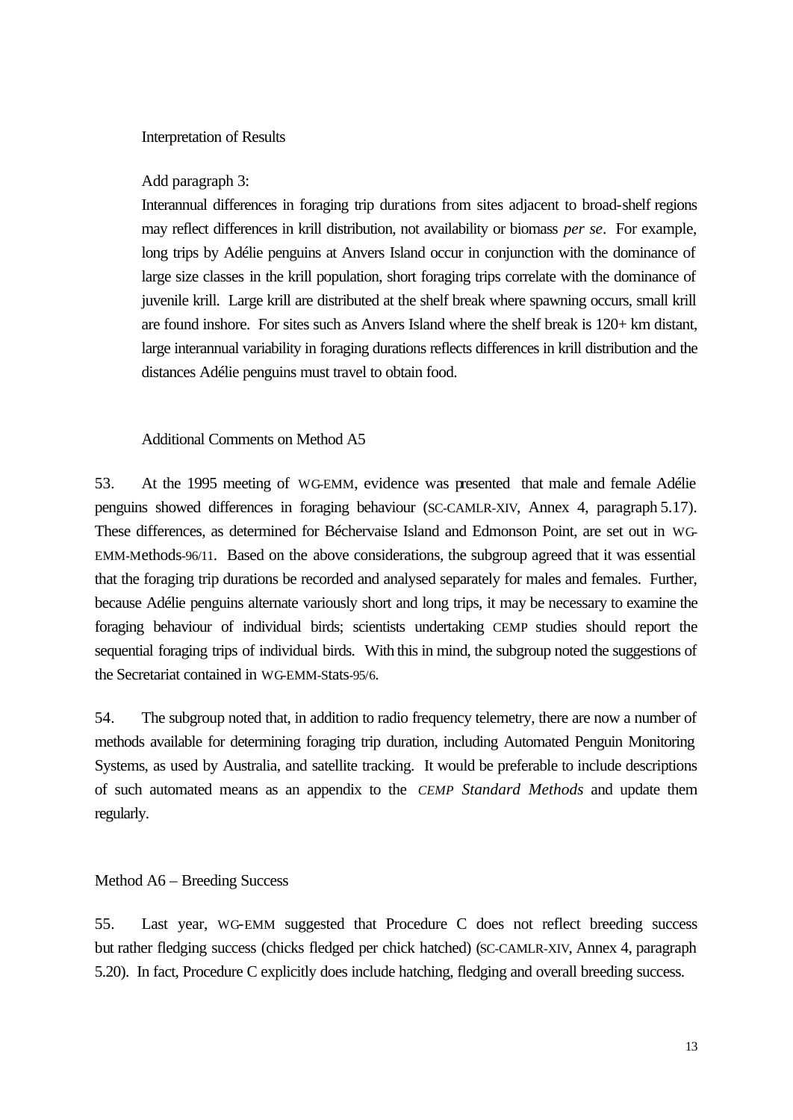### Interpretation of Results

### Add paragraph 3:

Interannual differences in foraging trip durations from sites adjacent to broad-shelf regions may reflect differences in krill distribution, not availability or biomass *per se*. For example, long trips by Adélie penguins at Anvers Island occur in conjunction with the dominance of large size classes in the krill population, short foraging trips correlate with the dominance of juvenile krill. Large krill are distributed at the shelf break where spawning occurs, small krill are found inshore. For sites such as Anvers Island where the shelf break is 120+ km distant, large interannual variability in foraging durations reflects differences in krill distribution and the distances Adélie penguins must travel to obtain food.

### Additional Comments on Method A5

53. At the 1995 meeting of WG-EMM, evidence was presented that male and female Adélie penguins showed differences in foraging behaviour (SC-CAMLR-XIV, Annex 4, paragraph 5.17). These differences, as determined for Béchervaise Island and Edmonson Point, are set out in WG-EMM-Methods-96/11. Based on the above considerations, the subgroup agreed that it was essential that the foraging trip durations be recorded and analysed separately for males and females. Further, because Adélie penguins alternate variously short and long trips, it may be necessary to examine the foraging behaviour of individual birds; scientists undertaking CEMP studies should report the sequential foraging trips of individual birds. With this in mind, the subgroup noted the suggestions of the Secretariat contained in WG-EMM-Stats-95/6.

54. The subgroup noted that, in addition to radio frequency telemetry, there are now a number of methods available for determining foraging trip duration, including Automated Penguin Monitoring Systems, as used by Australia, and satellite tracking. It would be preferable to include descriptions of such automated means as an appendix to the *CEMP Standard Methods* and update them regularly.

#### Method A6 – Breeding Success

55. Last year, WG-EMM suggested that Procedure C does not reflect breeding success but rather fledging success (chicks fledged per chick hatched) (SC-CAMLR-XIV, Annex 4, paragraph 5.20). In fact, Procedure C explicitly does include hatching, fledging and overall breeding success.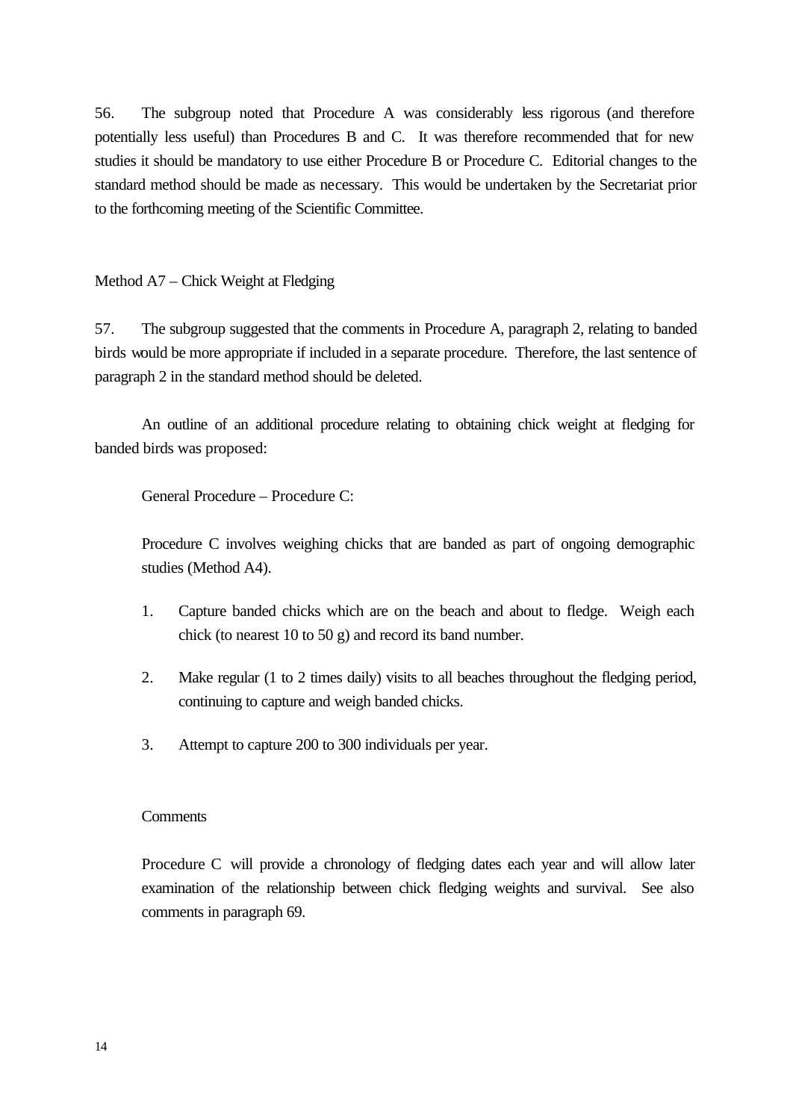56. The subgroup noted that Procedure A was considerably less rigorous (and therefore potentially less useful) than Procedures B and C. It was therefore recommended that for new studies it should be mandatory to use either Procedure B or Procedure C. Editorial changes to the standard method should be made as necessary. This would be undertaken by the Secretariat prior to the forthcoming meeting of the Scientific Committee.

Method A7 – Chick Weight at Fledging

57. The subgroup suggested that the comments in Procedure A, paragraph 2, relating to banded birds would be more appropriate if included in a separate procedure. Therefore, the last sentence of paragraph 2 in the standard method should be deleted.

An outline of an additional procedure relating to obtaining chick weight at fledging for banded birds was proposed:

General Procedure – Procedure C:

Procedure C involves weighing chicks that are banded as part of ongoing demographic studies (Method A4).

- 1. Capture banded chicks which are on the beach and about to fledge. Weigh each chick (to nearest 10 to 50 g) and record its band number.
- 2. Make regular (1 to 2 times daily) visits to all beaches throughout the fledging period, continuing to capture and weigh banded chicks.
- 3. Attempt to capture 200 to 300 individuals per year.

#### **Comments**

Procedure C will provide a chronology of fledging dates each year and will allow later examination of the relationship between chick fledging weights and survival. See also comments in paragraph 69.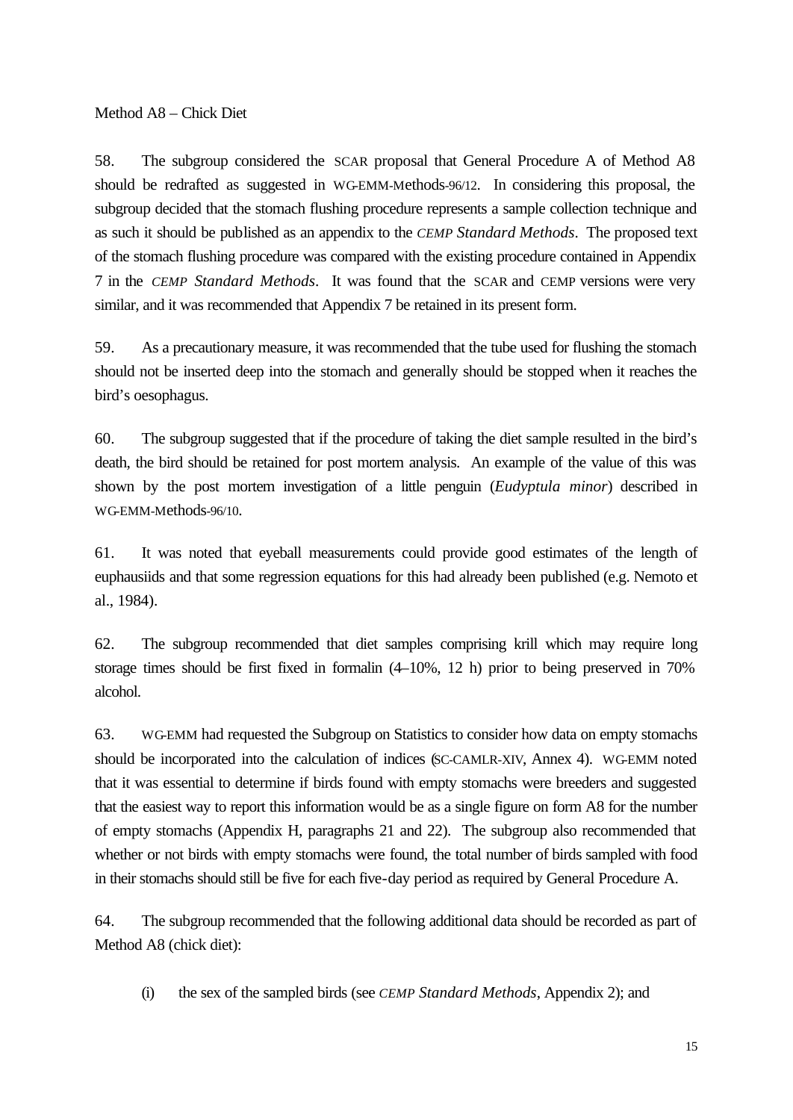Method A8 – Chick Diet

58. The subgroup considered the SCAR proposal that General Procedure A of Method A8 should be redrafted as suggested in WG-EMM-Methods-96/12. In considering this proposal, the subgroup decided that the stomach flushing procedure represents a sample collection technique and as such it should be published as an appendix to the *CEMP Standard Methods*. The proposed text of the stomach flushing procedure was compared with the existing procedure contained in Appendix 7 in the *CEMP Standard Methods*. It was found that the SCAR and CEMP versions were very similar, and it was recommended that Appendix 7 be retained in its present form.

59. As a precautionary measure, it was recommended that the tube used for flushing the stomach should not be inserted deep into the stomach and generally should be stopped when it reaches the bird's oesophagus.

60. The subgroup suggested that if the procedure of taking the diet sample resulted in the bird's death, the bird should be retained for post mortem analysis. An example of the value of this was shown by the post mortem investigation of a little penguin (*Eudyptula minor*) described in WG-EMM-Methods-96/10.

61. It was noted that eyeball measurements could provide good estimates of the length of euphausiids and that some regression equations for this had already been published (e.g. Nemoto et al., 1984).

62. The subgroup recommended that diet samples comprising krill which may require long storage times should be first fixed in formal  $(4-10\%$ , 12 h) prior to being preserved in 70% alcohol.

63. WG-EMM had requested the Subgroup on Statistics to consider how data on empty stomachs should be incorporated into the calculation of indices (SC-CAMLR-XIV, Annex 4). WG-EMM noted that it was essential to determine if birds found with empty stomachs were breeders and suggested that the easiest way to report this information would be as a single figure on form A8 for the number of empty stomachs (Appendix H, paragraphs 21 and 22). The subgroup also recommended that whether or not birds with empty stomachs were found, the total number of birds sampled with food in their stomachs should still be five for each five-day period as required by General Procedure A.

64. The subgroup recommended that the following additional data should be recorded as part of Method A8 (chick diet):

(i) the sex of the sampled birds (see *CEMP Standard Methods*, Appendix 2); and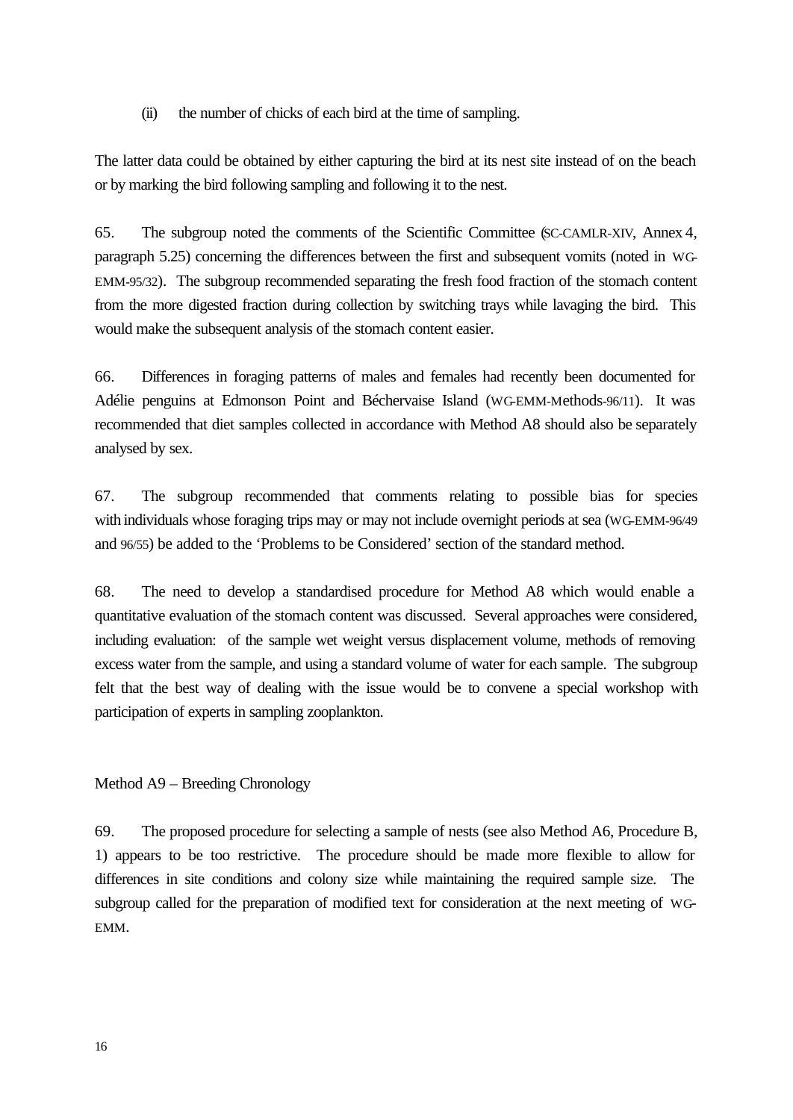(ii) the number of chicks of each bird at the time of sampling.

The latter data could be obtained by either capturing the bird at its nest site instead of on the beach or by marking the bird following sampling and following it to the nest.

65. The subgroup noted the comments of the Scientific Committee (SC-CAMLR-XIV, Annex 4, paragraph 5.25) concerning the differences between the first and subsequent vomits (noted in WG-EMM-95/32). The subgroup recommended separating the fresh food fraction of the stomach content from the more digested fraction during collection by switching trays while lavaging the bird. This would make the subsequent analysis of the stomach content easier.

66. Differences in foraging patterns of males and females had recently been documented for Adélie penguins at Edmonson Point and Béchervaise Island (WG-EMM-Methods-96/11). It was recommended that diet samples collected in accordance with Method A8 should also be separately analysed by sex.

67. The subgroup recommended that comments relating to possible bias for species with individuals whose foraging trips may or may not include overnight periods at sea (WG-EMM-96/49 and 96/55) be added to the 'Problems to be Considered' section of the standard method.

68. The need to develop a standardised procedure for Method A8 which would enable a quantitative evaluation of the stomach content was discussed. Several approaches were considered, including evaluation: of the sample wet weight versus displacement volume, methods of removing excess water from the sample, and using a standard volume of water for each sample. The subgroup felt that the best way of dealing with the issue would be to convene a special workshop with participation of experts in sampling zooplankton.

## Method A9 – Breeding Chronology

69. The proposed procedure for selecting a sample of nests (see also Method A6, Procedure B, 1) appears to be too restrictive. The procedure should be made more flexible to allow for differences in site conditions and colony size while maintaining the required sample size. The subgroup called for the preparation of modified text for consideration at the next meeting of WG-EMM.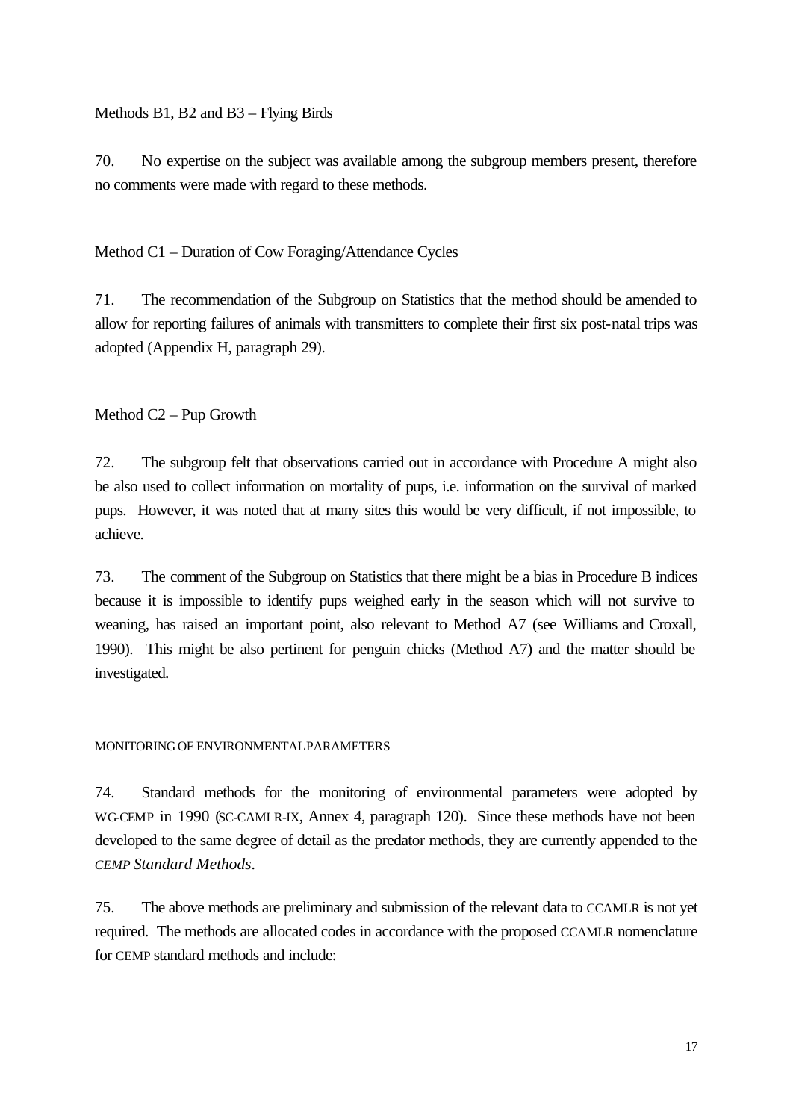Methods B1, B2 and B3 – Flying Birds

70. No expertise on the subject was available among the subgroup members present, therefore no comments were made with regard to these methods.

Method C1 – Duration of Cow Foraging/Attendance Cycles

71. The recommendation of the Subgroup on Statistics that the method should be amended to allow for reporting failures of animals with transmitters to complete their first six post-natal trips was adopted (Appendix H, paragraph 29).

Method C2 – Pup Growth

72. The subgroup felt that observations carried out in accordance with Procedure A might also be also used to collect information on mortality of pups, i.e. information on the survival of marked pups. However, it was noted that at many sites this would be very difficult, if not impossible, to achieve.

73. The comment of the Subgroup on Statistics that there might be a bias in Procedure B indices because it is impossible to identify pups weighed early in the season which will not survive to weaning, has raised an important point, also relevant to Method A7 (see Williams and Croxall, 1990). This might be also pertinent for penguin chicks (Method A7) and the matter should be investigated.

#### MONITORINGOF ENVIRONMENTALPARAMETERS

74. Standard methods for the monitoring of environmental parameters were adopted by WG-CEMP in 1990 (SC-CAMLR-IX, Annex 4, paragraph 120). Since these methods have not been developed to the same degree of detail as the predator methods, they are currently appended to the *CEMP Standard Methods*.

75. The above methods are preliminary and submission of the relevant data to CCAMLR is not yet required. The methods are allocated codes in accordance with the proposed CCAMLR nomenclature for CEMP standard methods and include: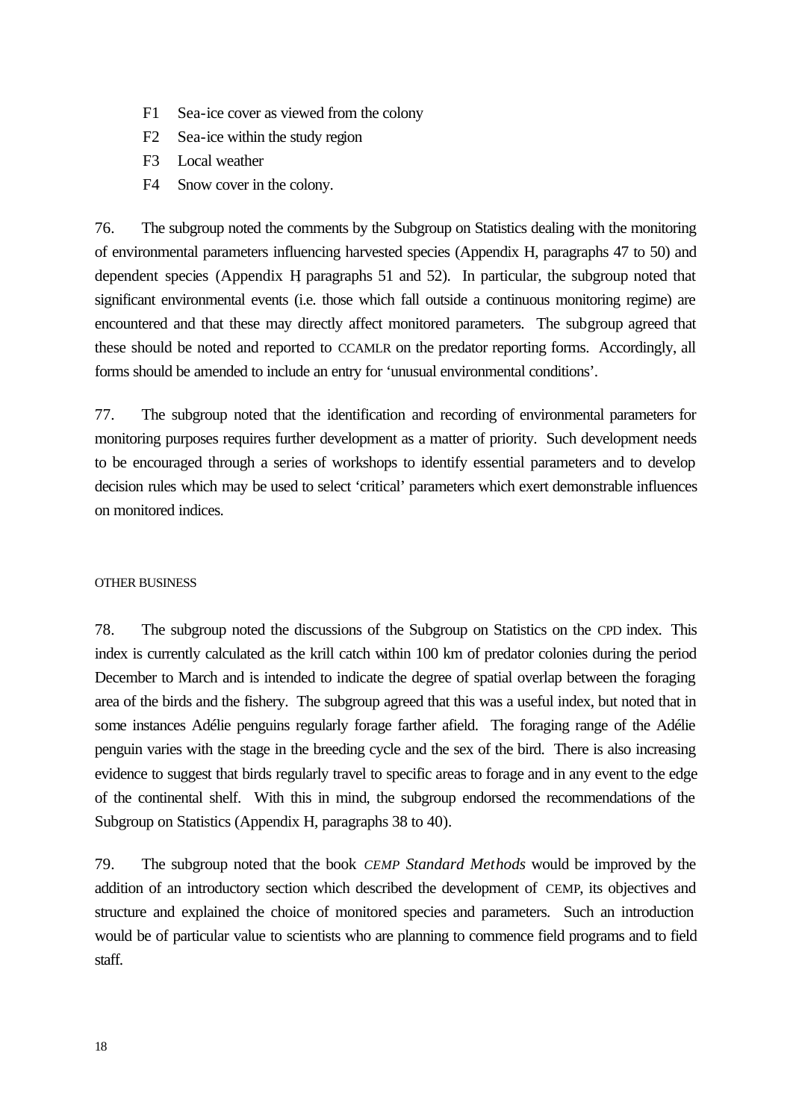- F1 Sea-ice cover as viewed from the colony
- F2 Sea-ice within the study region
- F3 Local weather
- F4 Snow cover in the colony.

76. The subgroup noted the comments by the Subgroup on Statistics dealing with the monitoring of environmental parameters influencing harvested species (Appendix H, paragraphs 47 to 50) and dependent species (Appendix H, paragraphs 51 and 52). In particular, the subgroup noted that significant environmental events (i.e. those which fall outside a continuous monitoring regime) are encountered and that these may directly affect monitored parameters. The subgroup agreed that these should be noted and reported to CCAMLR on the predator reporting forms. Accordingly, all forms should be amended to include an entry for 'unusual environmental conditions'.

77. The subgroup noted that the identification and recording of environmental parameters for monitoring purposes requires further development as a matter of priority. Such development needs to be encouraged through a series of workshops to identify essential parameters and to develop decision rules which may be used to select 'critical' parameters which exert demonstrable influences on monitored indices.

#### OTHER BUSINESS

78. The subgroup noted the discussions of the Subgroup on Statistics on the CPD index. This index is currently calculated as the krill catch within 100 km of predator colonies during the period December to March and is intended to indicate the degree of spatial overlap between the foraging area of the birds and the fishery. The subgroup agreed that this was a useful index, but noted that in some instances Adélie penguins regularly forage farther afield. The foraging range of the Adélie penguin varies with the stage in the breeding cycle and the sex of the bird. There is also increasing evidence to suggest that birds regularly travel to specific areas to forage and in any event to the edge of the continental shelf. With this in mind, the subgroup endorsed the recommendations of the Subgroup on Statistics (Appendix H, paragraphs 38 to 40).

79. The subgroup noted that the book *CEMP Standard Methods* would be improved by the addition of an introductory section which described the development of CEMP, its objectives and structure and explained the choice of monitored species and parameters. Such an introduction would be of particular value to scientists who are planning to commence field programs and to field staff.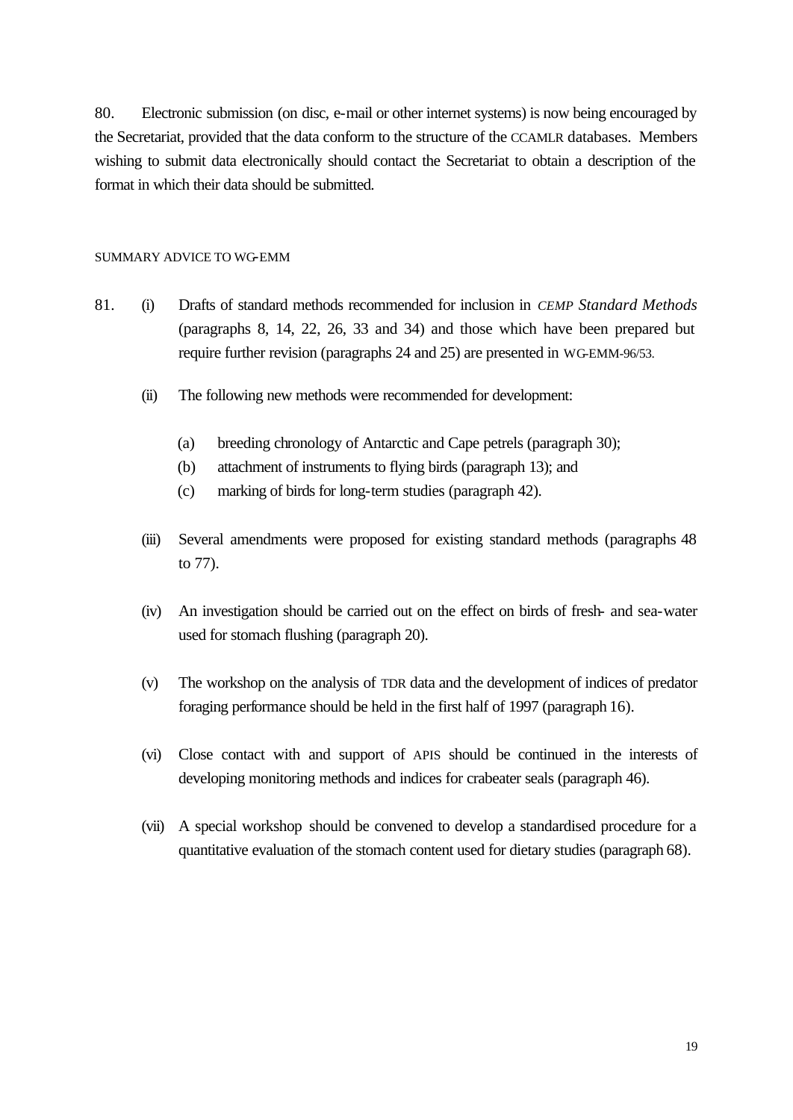80. Electronic submission (on disc, e-mail or other internet systems) is now being encouraged by the Secretariat, provided that the data conform to the structure of the CCAMLR databases. Members wishing to submit data electronically should contact the Secretariat to obtain a description of the format in which their data should be submitted.

#### SUMMARY ADVICE TO WG-EMM

- 81. (i) Drafts of standard methods recommended for inclusion in *CEMP Standard Methods* (paragraphs 8, 14, 22, 26, 33 and 34) and those which have been prepared but require further revision (paragraphs 24 and 25) are presented in WG-EMM-96/53.
	- (ii) The following new methods were recommended for development:
		- (a) breeding chronology of Antarctic and Cape petrels (paragraph 30);
		- (b) attachment of instruments to flying birds (paragraph 13); and
		- (c) marking of birds for long-term studies (paragraph 42).
	- (iii) Several amendments were proposed for existing standard methods (paragraphs 48 to 77).
	- (iv) An investigation should be carried out on the effect on birds of fresh- and sea-water used for stomach flushing (paragraph 20).
	- (v) The workshop on the analysis of TDR data and the development of indices of predator foraging performance should be held in the first half of 1997 (paragraph 16).
	- (vi) Close contact with and support of APIS should be continued in the interests of developing monitoring methods and indices for crabeater seals (paragraph 46).
	- (vii) A special workshop should be convened to develop a standardised procedure for a quantitative evaluation of the stomach content used for dietary studies (paragraph 68).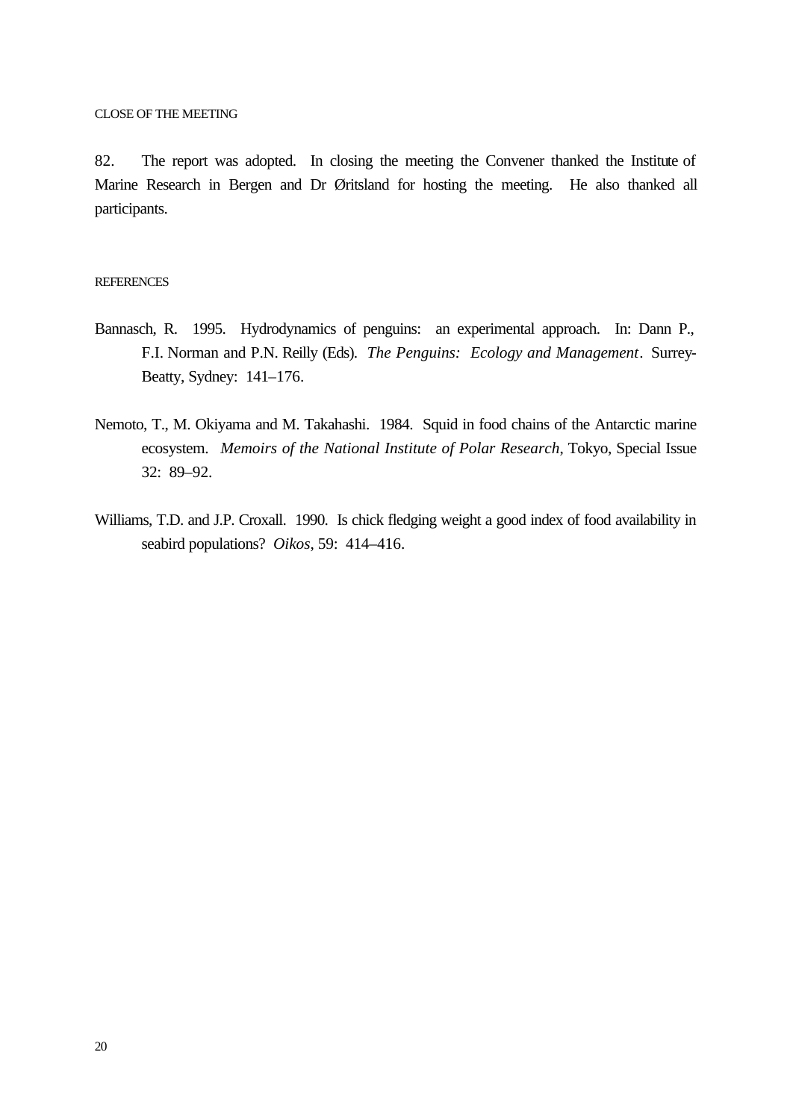CLOSE OF THE MEETING

82. The report was adopted. In closing the meeting the Convener thanked the Institute of Marine Research in Bergen and Dr Øritsland for hosting the meeting. He also thanked all participants.

#### **REFERENCES**

- Bannasch, R. 1995. Hydrodynamics of penguins: an experimental approach. In: Dann P., F.I. Norman and P.N. Reilly (Eds). *The Penguins: Ecology and Management*. Surrey-Beatty, Sydney: 141–176.
- Nemoto, T., M. Okiyama and M. Takahashi. 1984. Squid in food chains of the Antarctic marine ecosystem. *Memoirs of the National Institute of Polar Research*, Tokyo, Special Issue 32: 89–92.
- Williams, T.D. and J.P. Croxall. 1990. Is chick fledging weight a good index of food availability in seabird populations? *Oikos*, 59: 414–416.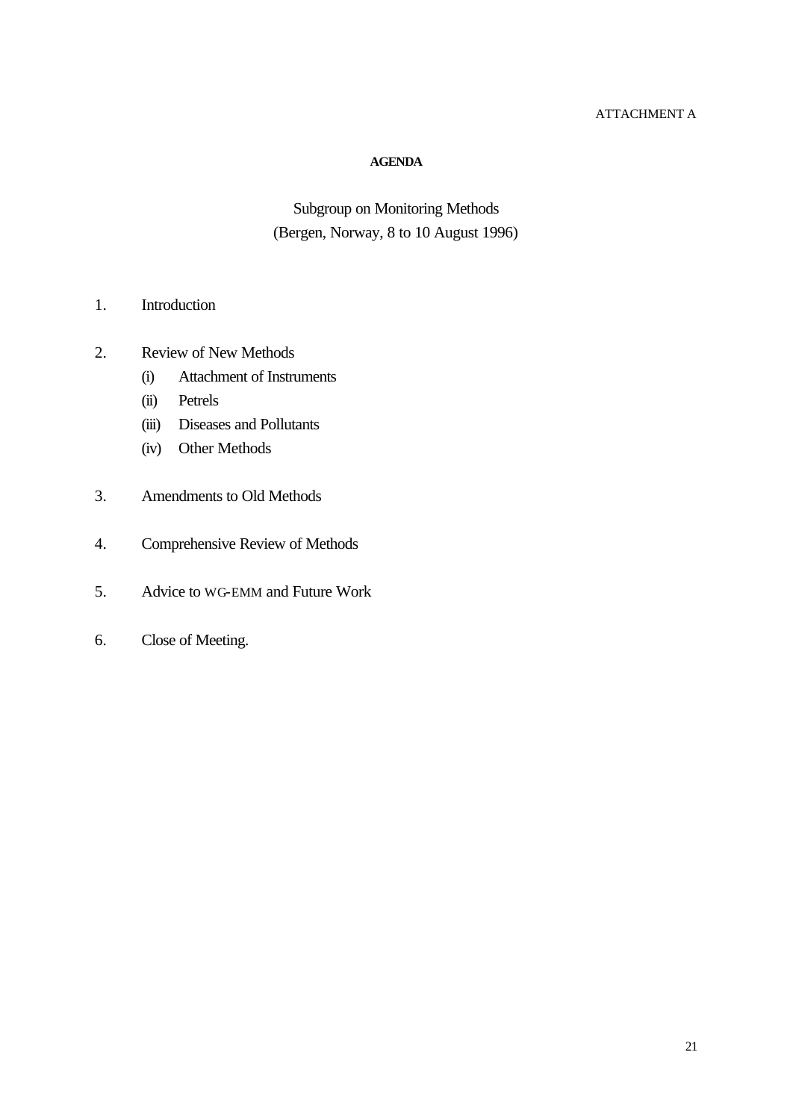## ATTACHMENT A

#### **AGENDA**

# Subgroup on Monitoring Methods (Bergen, Norway, 8 to 10 August 1996)

- 1. Introduction
- 2. Review of New Methods
	- (i) Attachment of Instruments
	- (ii) Petrels
	- (iii) Diseases and Pollutants
	- (iv) Other Methods
- 3. Amendments to Old Methods
- 4. Comprehensive Review of Methods
- 5. Advice to WG-EMM and Future Work
- 6. Close of Meeting.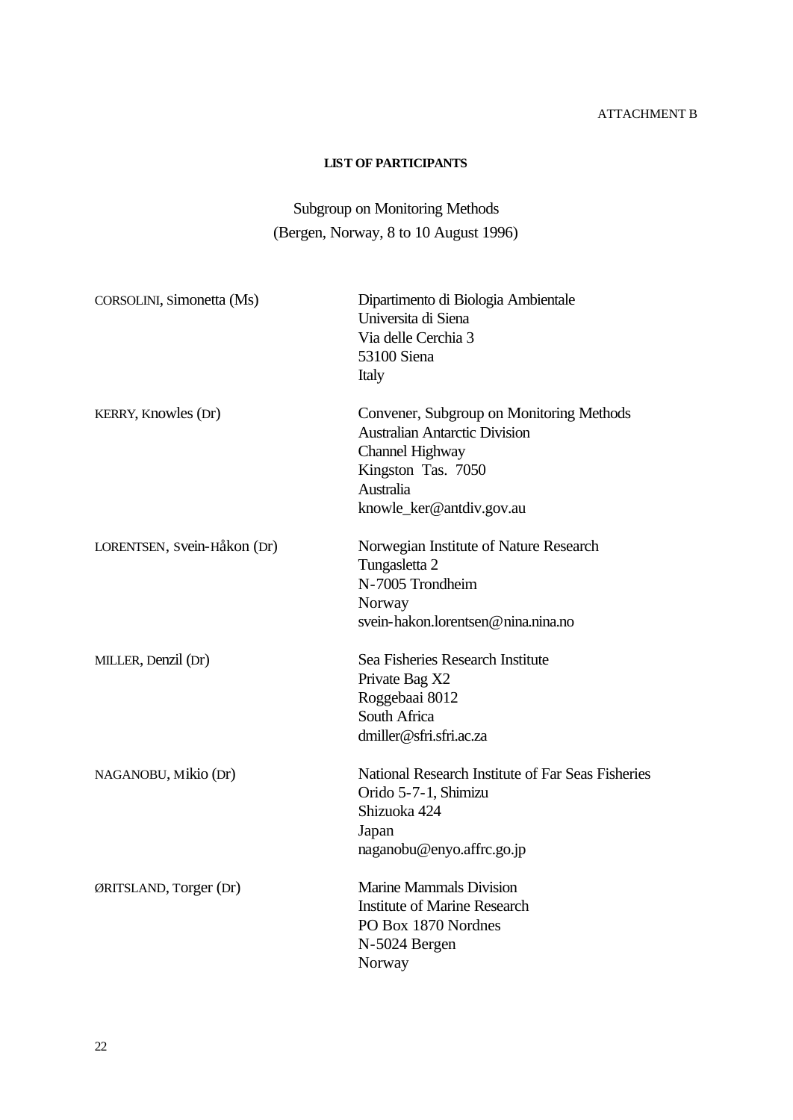# ATTACHMENT B

### **LIST OF PARTICIPANTS**

# Subgroup on Monitoring Methods (Bergen, Norway, 8 to 10 August 1996)

| CORSOLINI, Simonetta (Ms)   | Dipartimento di Biologia Ambientale<br>Universita di Siena<br>Via delle Cerchia 3<br>53100 Siena<br>Italy                                                          |
|-----------------------------|--------------------------------------------------------------------------------------------------------------------------------------------------------------------|
| KERRY, Knowles (Dr)         | Convener, Subgroup on Monitoring Methods<br><b>Australian Antarctic Division</b><br>Channel Highway<br>Kingston Tas. 7050<br>Australia<br>knowle_ker@antdiv.gov.au |
| LORENTSEN, Svein-Håkon (Dr) | Norwegian Institute of Nature Research<br>Tungasletta 2<br>N-7005 Trondheim<br>Norway<br>svein-hakon.lorentsen@nina.nina.no                                        |
| MILLER, Denzil (Dr)         | Sea Fisheries Research Institute<br>Private Bag X2<br>Roggebaai 8012<br>South Africa<br>dmiller@sfri.sfri.ac.za                                                    |
| NAGANOBU, Mikio (Dr)        | National Research Institute of Far Seas Fisheries<br>Orido 5-7-1, Shimizu<br>Shizuoka 424<br>Japan<br>naganobu@enyo.affrc.go.jp                                    |
| ØRITSLAND, Torger (Dr)      | <b>Marine Mammals Division</b><br><b>Institute of Marine Research</b><br>PO Box 1870 Nordnes<br>N-5024 Bergen<br>Norway                                            |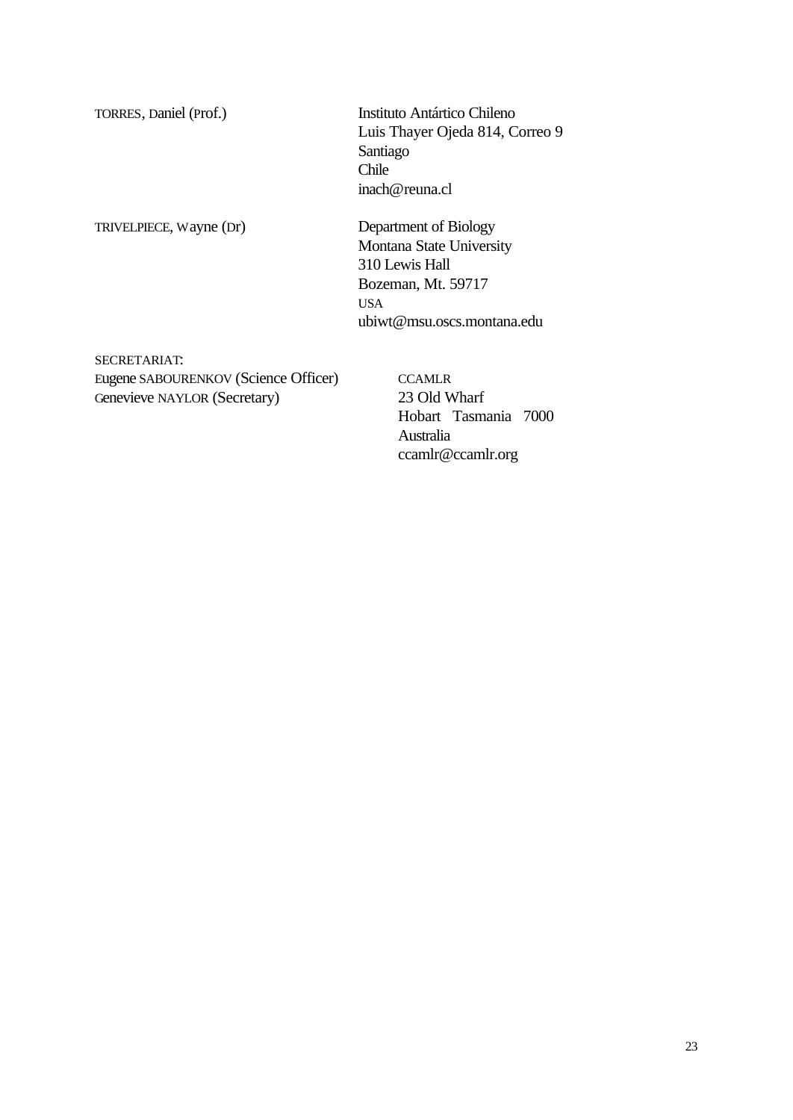TORRES, Daniel (Prof.) Instituto Antártico Chileno Luis Thayer Ojeda 814, Correo 9 Santiago Chile inach@reuna.cl

TRIVELPIECE, Wayne (Dr) Department of Biology Montana State University 310 Lewis Hall Bozeman, Mt. 59717 USA ubiwt@msu.oscs.montana.edu

SECRETARIAT: Eugene SABOURENKOV (Science Officer) CCAMLR Genevieve NAYLOR (Secretary) 23 Old Wharf

Hobart Tasmania 7000 Australia ccamlr@ccamlr.org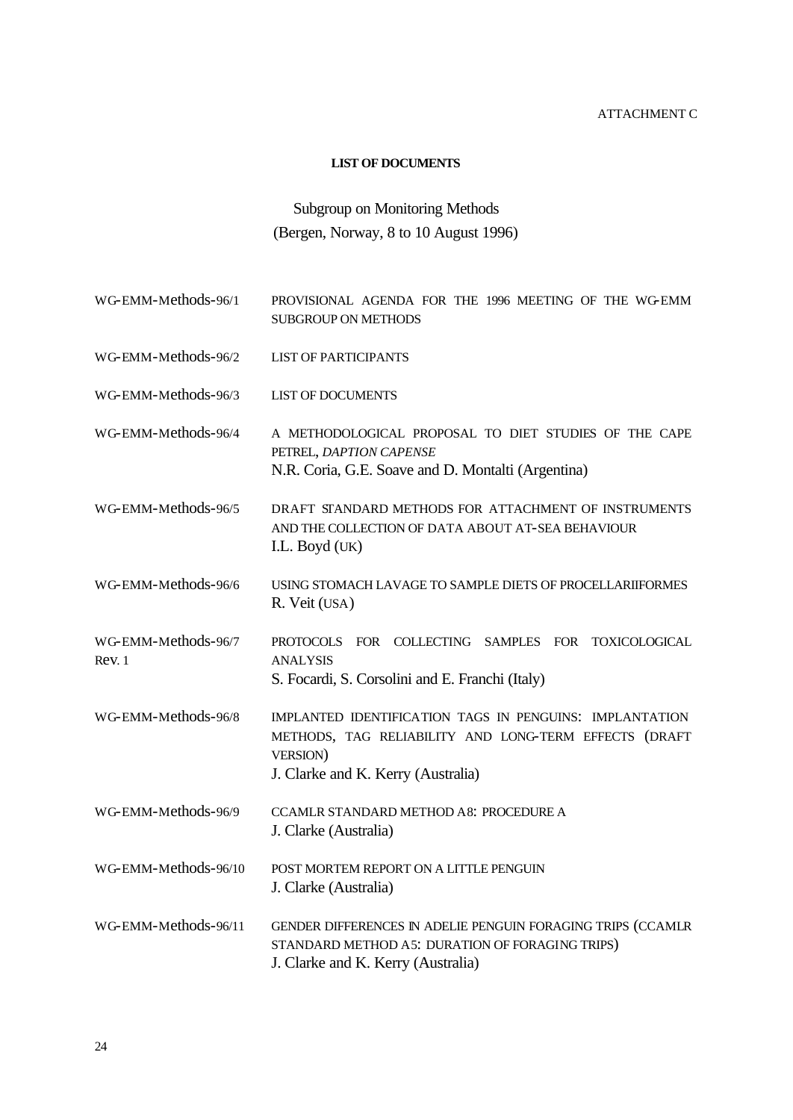#### ATTACHMENT C

#### **LIST OF DOCUMENTS**

# Subgroup on Monitoring Methods (Bergen, Norway, 8 to 10 August 1996)

- WG-EMM-Methods-96/1 PROVISIONAL AGENDA FOR THE 1996 MEETING OF THE WG-EMM SUBGROUP ON METHODS
- WG-EMM-Methods-96/2 LIST OF PARTICIPANTS
- WG-EMM-Methods-96/3 LIST OF DOCUMENTS
- WG-EMM-Methods-96/4 A METHODOLOGICAL PROPOSAL TO DIET STUDIES OF THE CAPE PETREL, *DAPTION CAPENSE* N.R. Coria, G.E. Soave and D. Montalti (Argentina)
- WG-EMM-Methods-96/5 DRAFT STANDARD METHODS FOR ATTACHMENT OF INSTRUMENTS AND THE COLLECTION OF DATA ABOUT AT-SEA BEHAVIOUR I.L. Boyd (UK)
- WG-EMM-Methods-96/6 USING STOMACH LAVAGE TO SAMPLE DIETS OF PROCELLARIIFORMES R. Veit (USA)
- WG-EMM-Methods-96/7 Rev. 1 PROTOCOLS FOR COLLECTING SAMPLES FOR TOXICOLOGICAL ANALYSIS S. Focardi, S. Corsolini and E. Franchi (Italy)
- WG-EMM-Methods-96/8 IMPLANTED IDENTIFICATION TAGS IN PENGUINS: IMPLANTATION METHODS, TAG RELIABILITY AND LONG-TERM EFFECTS (DRAFT VERSION) J. Clarke and K. Kerry (Australia)
- WG-EMM-Methods-96/9 CCAMLR STANDARD METHOD A8: PROCEDURE A J. Clarke (Australia)
- WG-EMM-Methods-96/10 POST MORTEM REPORT ON A LITTLE PENGUIN J. Clarke (Australia)
- WG-EMM-Methods-96/11 GENDER DIFFERENCES IN ADELIE PENGUIN FORAGING TRIPS (CCAMLR STANDARD METHOD A5: DURATION OF FORAGING TRIPS) J. Clarke and K. Kerry (Australia)